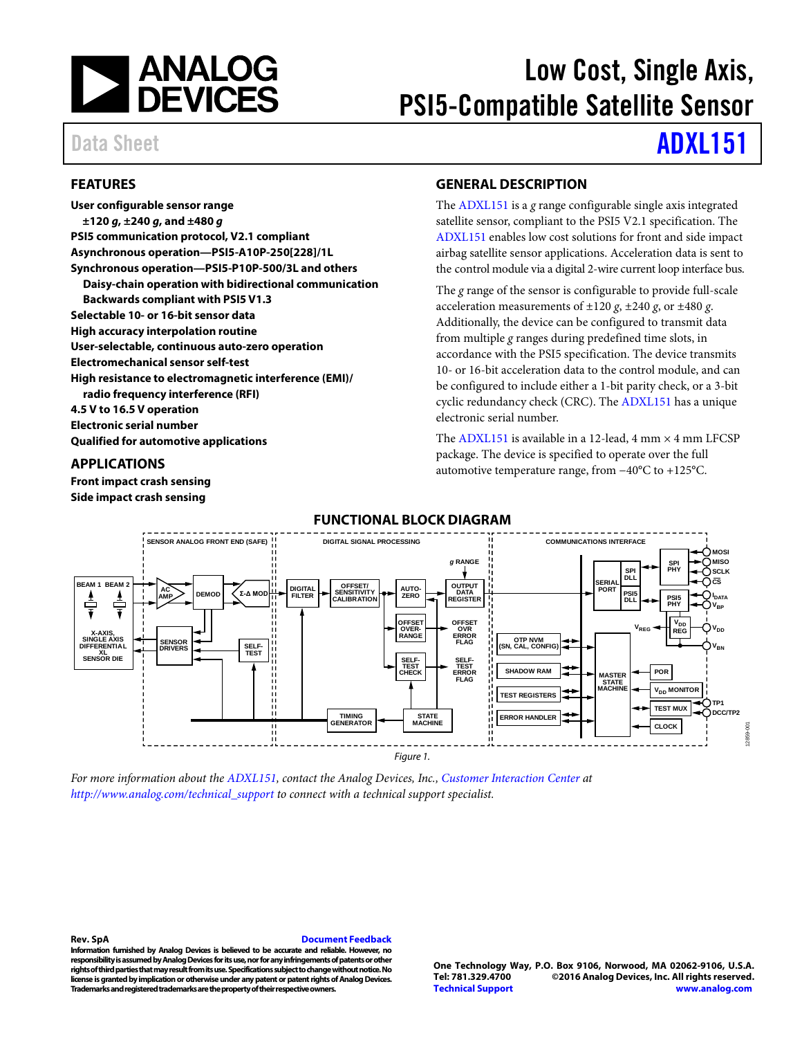

# Low Cost, Single Axis, PSI5-Compatible Satellite Sensor

Data Sheet **[ADXL151](http://www.analog.com/ADXL151?doc=ADXL151.pdf)** 

#### **FEATURES**

**User configurable sensor range ±120** *g***, ±240** *g***, and ±480** *g* **PSI5 communication protocol, V2.1 compliant Asynchronous operation—PSI5-A10P-250[228]/1L Synchronous operation—PSI5-P10P-500/3L and others Daisy-chain operation with bidirectional communication Backwards compliant with PSI5 V1.3 Selectable 10- or 16-bit sensor data High accuracy interpolation routine User-selectable, continuous auto-zero operation Electromechanical sensor self-test High resistance to electromagnetic interference (EMI)/ radio frequency interference (RFI) 4.5 V to 16.5 V operation Electronic serial number Qualified for automotive applications**

#### **APPLICATIONS**

**Front impact crash sensing Side impact crash sensing**

### **GENERAL DESCRIPTION**

The [ADXL151](http://www.analog.com/ADXL151?doc=ADXL151.pdf) is a *g* range configurable single axis integrated satellite sensor, compliant to the PSI5 V2.1 specification. The [ADXL151](http://www.analog.com/ADXL151?doc=ADXL151.pdf) enables low cost solutions for front and side impact airbag satellite sensor applications. Acceleration data is sent to the control module via a digital 2-wire current loop interface bus.

The *g* range of the sensor is configurable to provide full-scale acceleration measurements of  $\pm 120$  *g*,  $\pm 240$  *g*, or  $\pm 480$  *g*. Additionally, the device can be configured to transmit data from multiple *g* ranges during predefined time slots, in accordance with the PSI5 specification. The device transmits 10- or 16-bit acceleration data to the control module, and can be configured to include either a 1-bit parity check, or a 3-bit cyclic redundancy check (CRC). Th[e ADXL151](http://www.analog.com/ADXL151?doc=ADXL151.pdf) has a unique electronic serial number.

The [ADXL151](http://www.analog.com/ADXL151?doc=ADXL151.pdf) is available in a 12-lead,  $4 \text{ mm} \times 4 \text{ mm}$  LFCSP package. The device is specified to operate over the full automotive temperature range, from −40°C to +125°C.



*For more information about th[e ADXL151,](http://www.analog.com/ADXL151?doc=ADXL151.pdf) contact the Analog Devices, Inc., [Customer Interaction Center](http://www.analog.com/technical_support) at [http://www.analog.com/technical\\_support](http://www.analog.com/technical_support) to connect with a technical support specialist.*

**Rev. SpA [Document Feedback](https://form.analog.com/Form_Pages/feedback/documentfeedback.aspx?doc=ADXL151.pdf&product=ADXL151&rev=SpA)**

**Information furnished by Analog Devices is believed to be accurate and reliable. However, no responsibility is assumedby Analog Devices for its use, nor for any infringements of patents or other rights of third parties that may result from its use. Specifications subject to change without notice. No license is granted by implication or otherwise under any patent or patent rights of Analog Devices. Trademarks and registered trademarks are the property of their respective owners.**